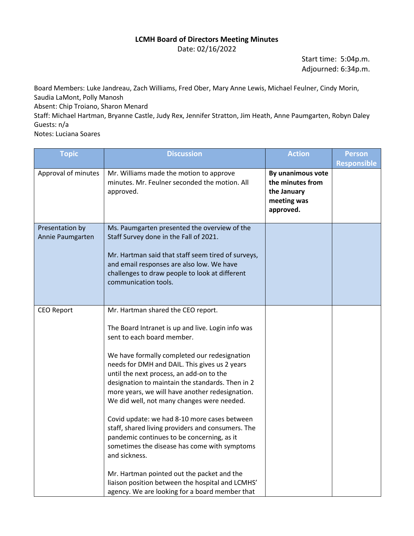## **LCMH Board of Directors Meeting Minutes**

Date: 02/16/2022

Start time: 5:04p.m. Adjourned: 6:34p.m.

Board Members: Luke Jandreau, Zach Williams, Fred Ober, Mary Anne Lewis, Michael Feulner, Cindy Morin, Saudia LaMont, Polly Manosh Absent: Chip Troiano, Sharon Menard

Staff: Michael Hartman, Bryanne Castle, Judy Rex, Jennifer Stratton, Jim Heath, Anne Paumgarten, Robyn Daley Guests: n/a

Notes: Luciana Soares

| <b>Topic</b>                        | <b>Discussion</b>                                                                                                                                                                                                                                                                                                                                                                                                                                                                                                                                                                                                                                                                                                                                                                               | <b>Action</b>                                                                    | <b>Person</b><br><b>Responsible</b> |
|-------------------------------------|-------------------------------------------------------------------------------------------------------------------------------------------------------------------------------------------------------------------------------------------------------------------------------------------------------------------------------------------------------------------------------------------------------------------------------------------------------------------------------------------------------------------------------------------------------------------------------------------------------------------------------------------------------------------------------------------------------------------------------------------------------------------------------------------------|----------------------------------------------------------------------------------|-------------------------------------|
| Approval of minutes                 | Mr. Williams made the motion to approve<br>minutes. Mr. Feulner seconded the motion. All<br>approved.                                                                                                                                                                                                                                                                                                                                                                                                                                                                                                                                                                                                                                                                                           | By unanimous vote<br>the minutes from<br>the January<br>meeting was<br>approved. |                                     |
| Presentation by<br>Annie Paumgarten | Ms. Paumgarten presented the overview of the<br>Staff Survey done in the Fall of 2021.<br>Mr. Hartman said that staff seem tired of surveys,<br>and email responses are also low. We have<br>challenges to draw people to look at different<br>communication tools.                                                                                                                                                                                                                                                                                                                                                                                                                                                                                                                             |                                                                                  |                                     |
| <b>CEO Report</b>                   | Mr. Hartman shared the CEO report.<br>The Board Intranet is up and live. Login info was<br>sent to each board member.<br>We have formally completed our redesignation<br>needs for DMH and DAIL. This gives us 2 years<br>until the next process, an add-on to the<br>designation to maintain the standards. Then in 2<br>more years, we will have another redesignation.<br>We did well, not many changes were needed.<br>Covid update: we had 8-10 more cases between<br>staff, shared living providers and consumers. The<br>pandemic continues to be concerning, as it<br>sometimes the disease has come with symptoms<br>and sickness.<br>Mr. Hartman pointed out the packet and the<br>liaison position between the hospital and LCMHS'<br>agency. We are looking for a board member that |                                                                                  |                                     |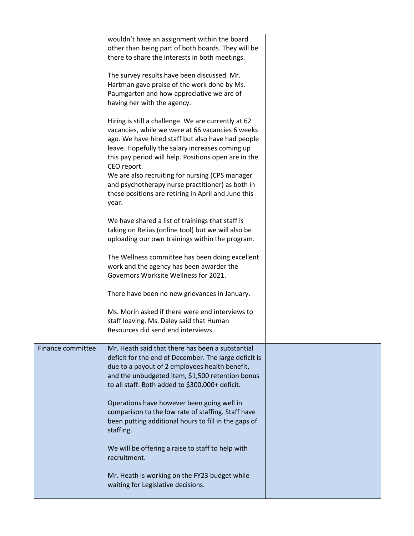|                   | wouldn't have an assignment within the board<br>other than being part of both boards. They will be<br>there to share the interests in both meetings.                                                                                                                                                                                                                                                                                                          |  |
|-------------------|---------------------------------------------------------------------------------------------------------------------------------------------------------------------------------------------------------------------------------------------------------------------------------------------------------------------------------------------------------------------------------------------------------------------------------------------------------------|--|
|                   | The survey results have been discussed. Mr.<br>Hartman gave praise of the work done by Ms.<br>Paumgarten and how appreciative we are of<br>having her with the agency.                                                                                                                                                                                                                                                                                        |  |
|                   | Hiring is still a challenge. We are currently at 62<br>vacancies, while we were at 66 vacancies 6 weeks<br>ago. We have hired staff but also have had people<br>leave. Hopefully the salary increases coming up<br>this pay period will help. Positions open are in the<br>CEO report.<br>We are also recruiting for nursing (CPS manager<br>and psychotherapy nurse practitioner) as both in<br>these positions are retiring in April and June this<br>year. |  |
|                   | We have shared a list of trainings that staff is<br>taking on Relias (online tool) but we will also be<br>uploading our own trainings within the program.                                                                                                                                                                                                                                                                                                     |  |
|                   | The Wellness committee has been doing excellent<br>work and the agency has been awarder the<br>Governors Worksite Wellness for 2021.                                                                                                                                                                                                                                                                                                                          |  |
|                   | There have been no new grievances in January.                                                                                                                                                                                                                                                                                                                                                                                                                 |  |
|                   | Ms. Morin asked if there were end interviews to<br>staff leaving. Ms. Daley said that Human<br>Resources did send end interviews.                                                                                                                                                                                                                                                                                                                             |  |
| Finance committee | Mr. Heath said that there has been a substantial<br>deficit for the end of December. The large deficit is<br>due to a payout of 2 employees health benefit,<br>and the unbudgeted item, \$1,500 retention bonus<br>to all staff. Both added to \$300,000+ deficit.                                                                                                                                                                                            |  |
|                   | Operations have however been going well in<br>comparison to the low rate of staffing. Staff have<br>been putting additional hours to fill in the gaps of<br>staffing.                                                                                                                                                                                                                                                                                         |  |
|                   | We will be offering a raise to staff to help with<br>recruitment.                                                                                                                                                                                                                                                                                                                                                                                             |  |
|                   | Mr. Heath is working on the FY23 budget while<br>waiting for Legislative decisions.                                                                                                                                                                                                                                                                                                                                                                           |  |